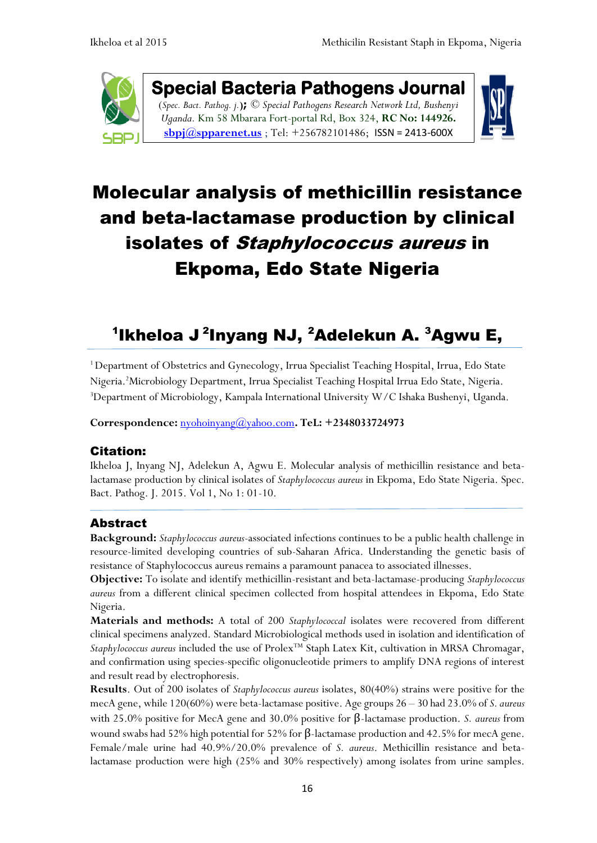

**Special Bacteria Pathogens Journal**  (*Spec. Bact. Pathog. j.***);** *© Special Pathogens Research Network Ltd, Bushenyi Uganda.* Km 58 Mbarara Fort-portal Rd, Box 324, **RC No: 144926. [sbpj@spparenet.us](mailto:sbpj@spparenet.us)** ; Tel: +256782101486; [ISSN = 2413-600X](https://www.google.com/url?sa=t&rct=j&q=&esrc=s&source=web&cd=1&cad=rja&uact=8&ved=0ahUKEwiFp5Ggge_XAhWpAsAKHapIARsQFggqMAA&url=http%3A%2F%2Fwww.spparenet.us%2FSBPJ%2Fscope%2F&usg=AOvVaw3D79hMirI6WLP01DNutMuL)



# Molecular analysis of methicillin resistance and beta-lactamase production by clinical isolates of Staphylococcus aureus in Ekpoma, Edo State Nigeria

## $^{\mathsf{1}}$ Ikheloa J $^{\mathsf{2}}$ Inyang NJ,  $^{\mathsf{2}}$ Adelekun A.  $^{\mathsf{3}}$ Agwu E,

<sup>1</sup>Department of Obstetrics and Gynecology, Irrua Specialist Teaching Hospital, Irrua, Edo State Nigeria.<sup>2</sup>Microbiology Department, Irrua Specialist Teaching Hospital Irrua Edo State, Nigeria. <sup>3</sup>Department of Microbiology, Kampala International University W/C Ishaka Bushenyi, Uganda.

**Correspondence:** [nyohoinyang@yahoo.com](mailto:nyohoinyang@yahoo.com)**. TeL: +2348033724973**

### Citation:

Ikheloa J, Inyang NJ, Adelekun A, Agwu E. Molecular analysis of methicillin resistance and betalactamase production by clinical isolates of *Staphylococcus aureus* in Ekpoma, Edo State Nigeria. Spec. Bact. Pathog. J. 2015. Vol 1, No 1: 01-10.

### Abstract

**Background:** *Staphylococcus aureus*-associated infections continues to be a public health challenge in resource-limited developing countries of sub-Saharan Africa. Understanding the genetic basis of resistance of Staphylococcus aureus remains a paramount panacea to associated illnesses.

**Objective:** To isolate and identify methicillin-resistant and beta-lactamase-producing *Staphylococcus aureus* from a different clinical specimen collected from hospital attendees in Ekpoma, Edo State Nigeria.

**Materials and methods:** A total of 200 *Staphylococcal* isolates were recovered from different clinical specimens analyzed. Standard Microbiological methods used in isolation and identification of Staphylococcus aureus included the use of Prolex<sup>™</sup> Staph Latex Kit, cultivation in MRSA Chromagar, and confirmation using species-specific oligonucleotide primers to amplify DNA regions of interest and result read by electrophoresis.

**Results**. Out of 200 isolates of *Staphylococcus aureus* isolates, 80(40%) strains were positive for the mecA gene, while 120(60%) were beta-lactamase positive. Age groups 26 – 30 had 23.0% of *S. aureus* with 25.0% positive for MecA gene and 30.0% positive for β-lactamase production. *S. aureus* from wound swabs had 52% high potential for 52% for β-lactamase production and 42.5% for mecA gene. Female/male urine had 40.9%/20.0% prevalence of *S. aureus*. Methicillin resistance and betalactamase production were high (25% and 30% respectively) among isolates from urine samples.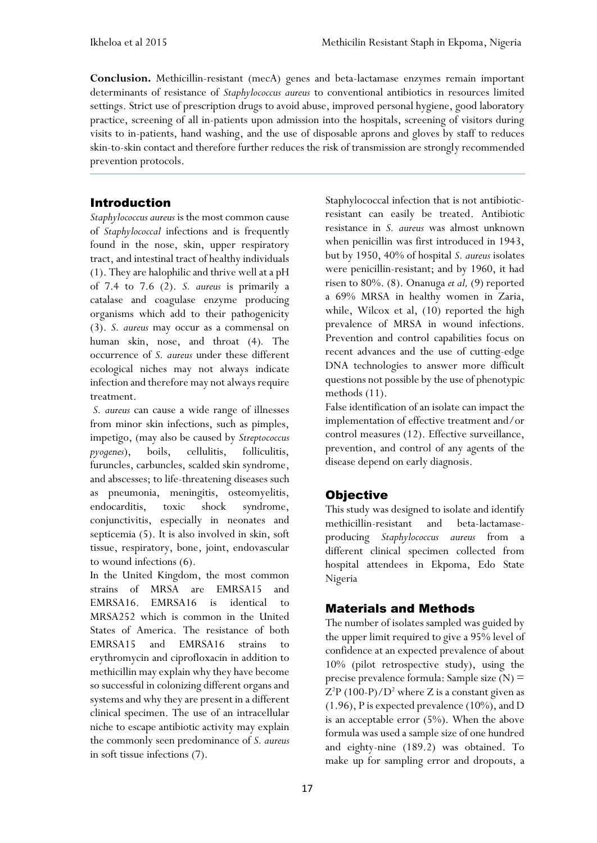**Conclusion.** Methicillin-resistant (mecA) genes and beta-lactamase enzymes remain important determinants of resistance of *Staphylococcus aureus* to conventional antibiotics in resources limited settings. Strict use of prescription drugs to avoid abuse, improved personal hygiene, good laboratory practice, screening of all in-patients upon admission into the hospitals, screening of visitors during visits to in-patients, hand washing, and the use of disposable aprons and gloves by staff to reduces skin-to-skin contact and therefore further reduces the risk of transmission are strongly recommended prevention protocols.

## Introduction

*Staphylococcus aureus* is the most common cause of *Staphylococcal* infections and is frequently found in the nose, skin, upper respiratory tract, and intestinal tract of healthy individuals (1). They are halophilic and thrive well ata pH of 7.4 to 7.6 (2). *S. aureus* is primarily a catalase and coagulase enzyme producing organisms which add to their pathogenicity (3). *S. aureus* may occur as a commensal on human skin, nose, and throat (4)*.* The occurrence of *S. aureus* under these different ecological niches may not always indicate infection and therefore may not always require treatment.

*S. aureus* can cause a wide range of illnesses from minor skin infections, such as pimples, impetigo, (may also be caused by *Streptococcus pyogenes*), boils, cellulitis, folliculitis, furuncles, carbuncles, scalded skin syndrome, and abscesses; to life-threatening diseases such as pneumonia, meningitis, osteomyelitis, endocarditis, toxic shock syndrome, conjunctivitis, especially in neonates and septicemia (5). It is also involved in skin, soft tissue, respiratory, bone, joint, endovascular to wound infections (6).

In the United Kingdom, the most common strains of MRSA are [EMRSA15](http://en.wikipedia.org/w/index.php?title=EMRSA15&action=edit&redlink=1) and [EMRSA16.](http://en.wikipedia.org/w/index.php?title=EMRSA16&action=edit&redlink=1) EMRSA16 is identical to MRSA252 which is common in the United States of America. The resistance of both EMRSA15 and EMRSA16 strains to [erythromycin](http://en.wikipedia.org/wiki/Erythromycin) and [ciprofloxacin](http://en.wikipedia.org/wiki/Ciprofloxacin) in addition to methicillin may explain why they have become so successful in colonizing different organs and systems and why they are present in a different clinical specimen. The use of an intracellular niche to escape antibiotic activity may explain the commonly seen predominance of *S. aureus* in soft tissue infections (7).

Staphylococcal infection that is not antibioticresistant can easily be treated. Antibiotic resistance in *S. aureus* was almost unknown when penicillin was first introduced in 1943, but by 1950, 40% of hospital *S. aureus* isolates were penicillin-resistant; and by 1960, it had risen to 80%. (8). Onanuga *et al,* (9) reported a 69% MRSA in healthy women in Zaria, while, Wilcox et al, (10) reported the high prevalence of MRSA in wound infections. Prevention and control capabilities focus on recent advances and the use of cutting-edge DNA technologies to answer more difficult questions not possible by the use of phenotypic methods (11).

False identification of an isolate can impact the implementation of effective treatment and/or control measures (12). Effective surveillance, prevention, and control of any agents of the disease depend on early diagnosis.

## **Objective**

This study was designed to isolate and identify methicillin-resistant and beta-lactamaseproducing *Staphylococcus aureus* from a different clinical specimen collected from hospital attendees in Ekpoma, Edo State Nigeria

## Materials and Methods

The number of isolates sampled was guided by the upper limit required to give a 95% level of confidence at an expected prevalence of about 10% (pilot retrospective study), using the precise prevalence formula: Sample size  $(N)$  =  $Z^2P(100-P)/D^2$  where Z is a constant given as (1.96), P is expected prevalence (10%), and D is an acceptable error (5%). When the above formula was used a sample size of one hundred and eighty-nine (189.2) was obtained. To make up for sampling error and dropouts, a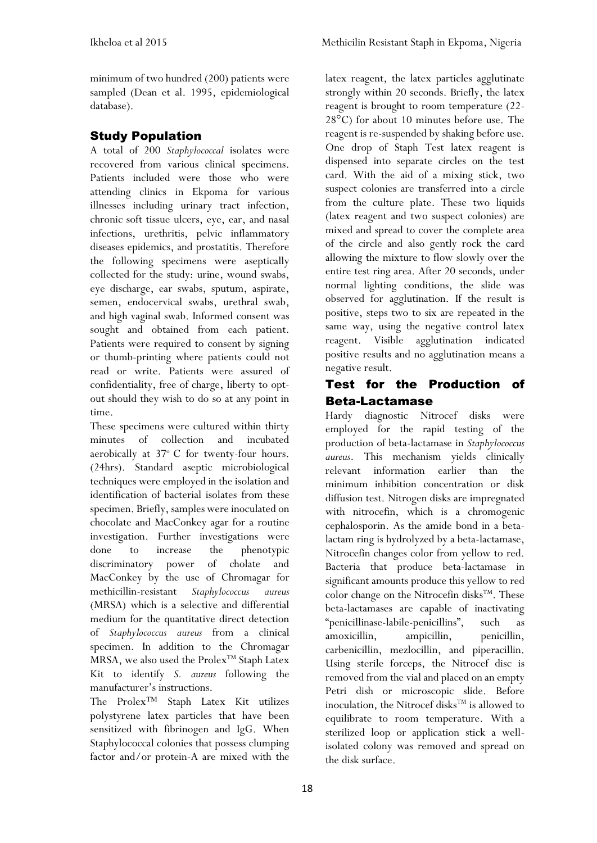minimum of two hundred (200) patients were sampled (Dean et al. 1995, epidemiological database).

## Study Population

A total of 200 *Staphylococcal* isolates were recovered from various clinical specimens. Patients included were those who were attending clinics in Ekpoma for various illnesses including urinary tract infection, chronic soft tissue ulcers, eye, ear, and nasal infections, urethritis, pelvic inflammatory diseases epidemics, and prostatitis. Therefore the following specimens were aseptically collected for the study: urine, wound swabs, eye discharge, ear swabs, sputum, aspirate, semen, endocervical swabs, urethral swab, and high vaginal swab. Informed consent was sought and obtained from each patient. Patients were required to consent by signing or thumb-printing where patients could not read or write. Patients were assured of confidentiality, free of charge, liberty to optout should they wish to do so at any point in time.

These specimens were cultured within thirty minutes of collection and incubated aerobically at 37° C for twenty-four hours. (24hrs). Standard aseptic microbiological techniques were employed in the isolation and identification of bacterial isolates from these specimen. Briefly, samples were inoculated on chocolate and MacConkey agar for a routine investigation. Further investigations were done to increase the phenotypic discriminatory power of cholate and MacConkey by the use of Chromagar for methicillin-resistant *Staphylococcus aureus* (MRSA) which is a selective and differential medium for the quantitative direct detection of *Staphylococcus aureus* from a clinical specimen. In addition to the Chromagar  $MRSA$ , we also used the Prolex<sup>TM</sup> Staph Latex Kit to identify *S. aureus* following the manufacturer's instructions.

The Prolex™ Staph Latex Kit utilizes polystyrene latex particles that have been sensitized with fibrinogen and IgG. When Staphylococcal colonies that possess clumping factor and/or protein-A are mixed with the

latex reagent, the latex particles agglutinate strongly within 20 seconds. Briefly, the latex reagent is brought to room temperature (22- 28°C) for about 10 minutes before use. The reagent is re-suspended by shaking before use. One drop of Staph Test latex reagent is dispensed into separate circles on the test card. With the aid of a mixing stick, two suspect colonies are transferred into a circle from the culture plate. These two liquids (latex reagent and two suspect colonies) are mixed and spread to cover the complete area of the circle and also gently rock the card allowing the mixture to flow slowly over the entire test ring area. After 20 seconds, under normal lighting conditions, the slide was observed for agglutination. If the result is positive, steps two to six are repeated in the same way, using the negative control latex reagent. Visible agglutination indicated positive results and no agglutination means a negative result.

## Test for the Production of Beta-Lactamase

Hardy diagnostic Nitrocef disks were employed for the rapid testing of the production of beta-lactamase in *Staphylococcus aureus*. This mechanism yields clinically relevant information earlier than the minimum inhibition concentration or disk diffusion test. Nitrogen disks are impregnated with nitrocefin, which is a chromogenic cephalosporin. As the amide bond in a betalactam ring is hydrolyzed by a beta-lactamase, Nitrocefin changes color from yellow to red. Bacteria that produce beta-lactamase in significant amounts produce this yellow to red color change on the Nitrocefin disks<sup>TM</sup>. These beta-lactamases are capable of inactivating "penicillinase-labile-penicillins", such as amoxicillin, ampicillin, penicillin, carbenicillin, mezlocillin, and piperacillin. Using sterile forceps, the Nitrocef disc is removed from the vial and placed on an empty Petri dish or microscopic slide. Before inoculation, the Nitrocef disks<sup>TM</sup> is allowed to equilibrate to room temperature. With a sterilized loop or application stick a wellisolated colony was removed and spread on the disk surface.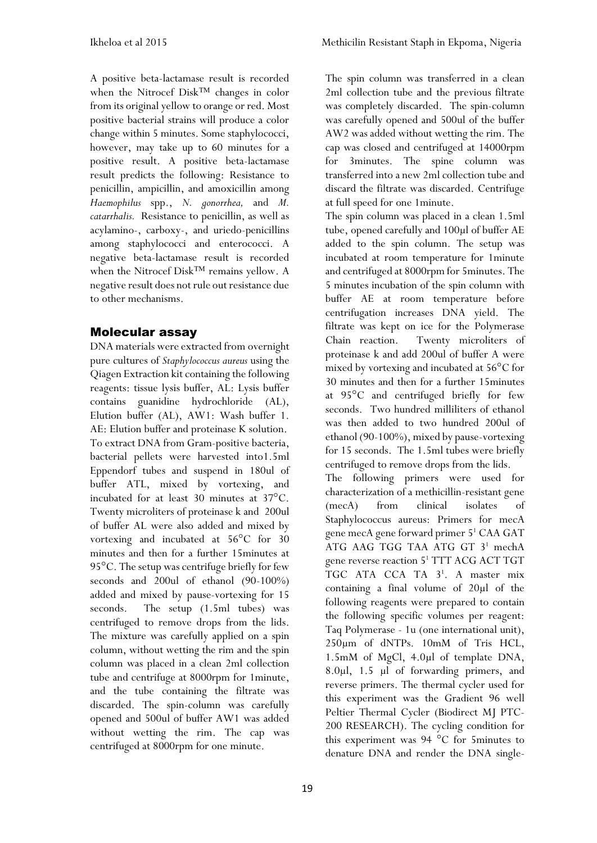The spin column was transferred in a clean

A positive beta-lactamase result is recorded when the Nitrocef Disk™ changes in color from its original yellow to orange or red. Most positive bacterial strains will produce a color change within 5 minutes. Some staphylococci, however, may take up to 60 minutes for a positive result. A positive beta-lactamase result predicts the following: Resistance to penicillin, ampicillin, and amoxicillin among *Haemophilus* spp., *N. gonorrhea,* and *M. catarrhalis.* Resistance to penicillin, as well as acylamino-, carboxy-, and uriedo-penicillins among staphylococci and enterococci. A negative beta-lactamase result is recorded when the Nitrocef Disk™ remains yellow. A negative result does not rule out resistance due to other mechanisms.

### Molecular assay

DNA materials were extracted from overnight pure cultures of *Staphylococcus aureus* using the Qiagen Extraction kit containing the following reagents: tissue lysis buffer, AL: Lysis buffer contains guanidine hydrochloride (AL), Elution buffer (AL), AW1: Wash buffer 1. AE: Elution buffer and proteinase K solution. To extract DNA from Gram-positive bacteria, bacterial pellets were harvested into1.5ml Eppendorf tubes and suspend in 180ul of buffer ATL, mixed by vortexing, and incubated for at least 30 minutes at 37°C. Twenty microliters of proteinase k and 200ul of buffer AL were also added and mixed by vortexing and incubated at 56°C for 30 minutes and then for a further 15minutes at 95°C. The setup was centrifuge briefly for few seconds and 200ul of ethanol (90-100%) added and mixed by pause-vortexing for 15 seconds. The setup (1.5ml tubes) was centrifuged to remove drops from the lids. The mixture was carefully applied on a spin column, without wetting the rim and the spin column was placed in a clean 2ml collection tube and centrifuge at 8000rpm for 1minute, and the tube containing the filtrate was discarded. The spin-column was carefully opened and 500ul of buffer AW1 was added without wetting the rim. The cap was centrifuged at 8000rpm for one minute.

2ml collection tube and the previous filtrate was completely discarded. The spin-column was carefully opened and 500ul of the buffer AW2 was added without wetting the rim. The cap was closed and centrifuged at 14000rpm for 3minutes. The spine column was transferred into a new 2ml collection tube and discard the filtrate was discarded. Centrifuge at full speed for one 1minute. The spin column was placed in a clean 1.5ml

tube, opened carefully and 100µl of buffer AE added to the spin column. The setup was incubated at room temperature for 1minute and centrifuged at 8000rpm for 5minutes. The 5 minutes incubation of the spin column with buffer AE at room temperature before centrifugation increases DNA yield. The filtrate was kept on ice for the Polymerase Chain reaction. Twenty microliters of proteinase k and add 200ul of buffer A were mixed by vortexing and incubated at 56°C for 30 minutes and then for a further 15minutes at 95°C and centrifuged briefly for few seconds. Two hundred milliliters of ethanol was then added to two hundred 200ul of ethanol (90-100%), mixed by pause-vortexing for 15 seconds. The 1.5ml tubes were briefly centrifuged to remove drops from the lids.

The following primers were used for characterization of a methicillin-resistant gene (mecA) from clinical isolates of Staphylococcus aureus: Primers for mecA gene mecA gene forward primer 5 <sup>1</sup> CAA GAT ATG AAG TGG TAA ATG GT 3<sup>1</sup> mechA gene reverse reaction 5 <sup>1</sup> TTT ACG ACT TGT TGC ATA CCA TA 3<sup>1</sup>. A master mix containing a final volume of 20µl of the following reagents were prepared to contain the following specific volumes per reagent: Taq Polymerase - 1u (one international unit), 250µm of dNTPs. 10mM of Tris HCL, 1.5mM of MgCl, 4.0µl of template DNA, 8.0µl, 1.5 µl of forwarding primers, and reverse primers. The thermal cycler used for this experiment was the Gradient 96 well Peltier Thermal Cycler (Biodirect MJ PTC-200 RESEARCH). The cycling condition for this experiment was 94 °C for 5minutes to denature DNA and render the DNA single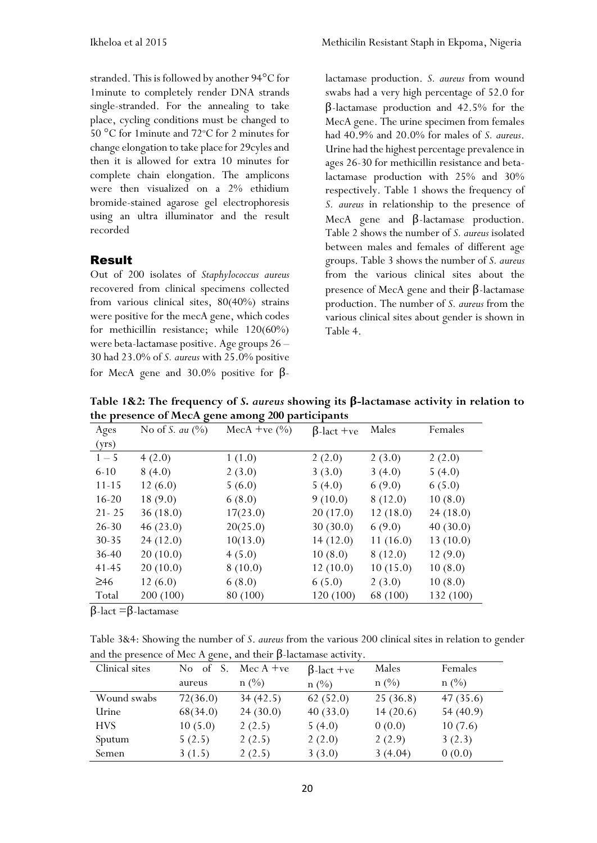stranded. This is followed by another 94°C for 1minute to completely render DNA strands single-stranded. For the annealing to take place, cycling conditions must be changed to 50  $\mathrm{^{\circ}C}$  for 1 minute and 72 $\mathrm{^{\circ}C}$  for 2 minutes for change elongation to take place for 29cyles and then it is allowed for extra 10 minutes for complete chain elongation. The amplicons were then visualized on a 2% ethidium bromide-stained agarose gel electrophoresis using an ultra illuminator and the result recorded

#### Result

Out of 200 isolates of *Staphylococcus aureus* recovered from clinical specimens collected from various clinical sites, 80(40%) strains were positive for the mecA gene, which codes for methicillin resistance; while 120(60%) were beta-lactamase positive. Age groups 26 – 30 had 23.0% of *S. aureus* with 25.0% positive for MecA gene and 30.0% positive for β-

lactamase production. *S. aureus* from wound swabs had a very high percentage of 52.0 for β-lactamase production and 42.5% for the MecA gene. The urine specimen from females had 40.9% and 20.0% for males of *S. aureus*. Urine had the highest percentage prevalence in ages 26-30 for methicillin resistance and betalactamase production with 25% and 30% respectively. Table 1 shows the frequency of *S. aureus* in relationship to the presence of MecA gene and β-lactamase production. Table 2 shows the number of *S. aureus* isolated between males and females of different age groups. Table 3 shows the number of *S. aureus*  from the various clinical sites about the presence of MecA gene and their β-lactamase production. The number of *S. aureus* from the various clinical sites about gender is shown in Table 4.

| $\overline{\phantom{a}}$<br>Ages | ັ<br>No of S. au $(\%)$ | ັ<br>MecA +ve $(\% )$ | $\beta$ -lact +ve | Males    | Females   |
|----------------------------------|-------------------------|-----------------------|-------------------|----------|-----------|
| (yrs)                            |                         |                       |                   |          |           |
| $1 - 5$                          | 4(2.0)                  | 1(1.0)                | 2(2.0)            | 2(3.0)   | 2(2.0)    |
| $6 - 10$                         | 8(4.0)                  | 2(3.0)                | 3(3.0)            | 3(4.0)   | 5(4.0)    |
| 11-15                            | 12(6.0)                 | 5(6.0)                | 5(4.0)            | 6(9.0)   | 6(5.0)    |
| $16 - 20$                        | 18(9.0)                 | 6(8.0)                | 9(10.0)           | 8(12.0)  | 10(8.0)   |
| $21 - 25$                        | 36(18.0)                | 17(23.0)              | 20(17.0)          | 12(18.0) | 24(18.0)  |
| $26 - 30$                        | 46(23.0)                | 20(25.0)              | 30(30.0)          | 6(9.0)   | 40(30.0)  |
| $30 - 35$                        | 24(12.0)                | 10(13.0)              | 14(12.0)          | 11(16.0) | 13(10.0)  |
| $36 - 40$                        | 20(10.0)                | 4(5.0)                | 10(8.0)           | 8(12.0)  | 12(9.0)   |
| $41 - 45$                        | 20(10.0)                | 8(10.0)               | 12(10.0)          | 10(15.0) | 10(8.0)   |
| $\geq 46$                        | 12(6.0)                 | 6(8.0)                | 6(5.0)            | 2(3.0)   | 10(8.0)   |
| Total                            | 200 (100)               | 80 (100)              | 120 (100)         | 68 (100) | 132 (100) |

**Table 1&2: The frequency of** *S***.** *aureus* **showing its β-lactamase activity in relation to the presence of MecA gene among 200 participants**

β-lact =β-lactamase

Table 3&4: Showing the number of *S*. *aureus* from the various 200 clinical sites in relation to gender and the presence of Mec A gene, and their  $\beta$ -lactamase activity.

| Clinical sites | No of<br>S. | Mec $A +ve$ | $\beta$ -lact +ve | Males      | Females    |
|----------------|-------------|-------------|-------------------|------------|------------|
|                | aureus      | $n \ (\%)$  | $n \ (\%)$        | $n \ (\%)$ | $n \ (\%)$ |
| Wound swabs    | 72(36.0)    | 34(42.5)    | 62(52.0)          | 25(36.8)   | 47(35.6)   |
| Urine          | 68(34.0)    | 24(30.0)    | 40(33.0)          | 14(20.6)   | 54(40.9)   |
| <b>HVS</b>     | 10(5.0)     | 2(2.5)      | 5(4.0)            | 0(0.0)     | 10(7.6)    |
| Sputum         | 5(2.5)      | 2(2.5)      | 2(2.0)            | 2(2.9)     | 3(2.3)     |
| Semen          | 3(1.5)      | 2(2.5)      | 3(3.0)            | 3(4.04)    | 0(0.0)     |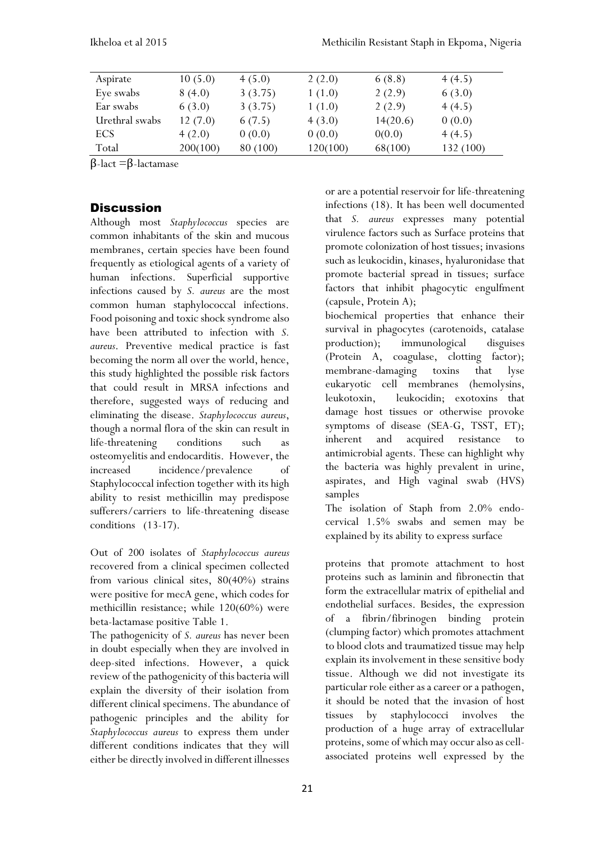| Aspirate       | 10(5.0)  | 4(5.0)   | 2(2.0)   | 6(8.8)   | 4(4.5)    |
|----------------|----------|----------|----------|----------|-----------|
| Eye swabs      | 8(4.0)   | 3(3.75)  | 1(1.0)   | 2(2.9)   | 6(3.0)    |
| Ear swabs      | 6(3.0)   | 3(3.75)  | 1(1.0)   | 2(2.9)   | 4(4.5)    |
| Urethral swabs | 12(7.0)  | 6(7.5)   | 4(3.0)   | 14(20.6) | 0(0.0)    |
| ECS            | 4(2.0)   | 0(0.0)   | 0(0.0)   | 0(0.0)   | 4(4.5)    |
| Total          | 200(100) | 80 (100) | 120(100) | 68(100)  | 132 (100) |

β-lact =β-lactamase

#### **Discussion**

Although most *Staphylococcus* species are common inhabitants of the skin and mucous membranes, certain species have been found frequently as etiological agents of a variety of human infections. Superficial supportive infections caused by *S. aureus* are the most common human staphylococcal infections. Food poisoning and toxic shock syndrome also have been attributed to infection with *S. aureus*. Preventive medical practice is fast becoming the norm all over the world, hence, this study highlighted the possible risk factors that could result in MRSA infections and therefore, suggested ways of reducing and eliminating the disease. *Staphylococcus aureus*, though a normal flora of the skin can result in life-threatening conditions such as osteomyelitis and endocarditis. However, the increased incidence/prevalence of Staphylococcal infection together with its high ability to resist methicillin may predispose sufferers/carriers to life-threatening disease conditions (13-17).

Out of 200 isolates of *Staphylococcus aureus* recovered from a clinical specimen collected from various clinical sites, 80(40%) strains were positive for mecA gene, which codes for methicillin resistance; while 120(60%) were beta-lactamase positive Table 1.

The pathogenicity of *S. aureus* has never been in doubt especially when they are involved in deep-sited infections. However, a quick review of the pathogenicity of this bacteria will explain the diversity of their isolation from different clinical specimens. The abundance of pathogenic principles and the ability for *Staphylococcus aureus* to express them under different conditions indicates that they will either be directly involved in different illnesses

or are a potential reservoir for life-threatening infections (18). It has been well documented that *S. aureus* expresses many potential virulence factors such as Surface proteins that promote colonization of host tissues; invasions such as leukocidin, kinases, hyaluronidase that promote bacterial spread in tissues; surface factors that inhibit phagocytic engulfment (capsule, Protein A);

biochemical properties that enhance their survival in phagocytes (carotenoids, catalase production); immunological disguises (Protein A, coagulase, clotting factor); membrane-damaging toxins that lyse eukaryotic cell membranes (hemolysins, leukotoxin, leukocidin; exotoxins that damage host tissues or otherwise provoke symptoms of disease (SEA-G, TSST, ET); inherent and acquired resistance to antimicrobial agents. These can highlight why the bacteria was highly prevalent in urine, aspirates, and High vaginal swab (HVS) samples

The isolation of Staph from 2.0% endocervical 1.5% swabs and semen may be explained by its ability to express surface

proteins that promote attachment to host proteins such as laminin and fibronectin that form the extracellular matrix of epithelial and endothelial surfaces. Besides, the expression of a fibrin/fibrinogen binding protein (clumping factor) which promotes attachment to blood clots and traumatized tissue may help explain its involvement in these sensitive body tissue. Although we did not investigate its particular role either as a career or a pathogen, it should be noted that the invasion of host tissues by staphylococci involves the production of a huge array of extracellular proteins, some of which may occur also as cellassociated proteins well expressed by the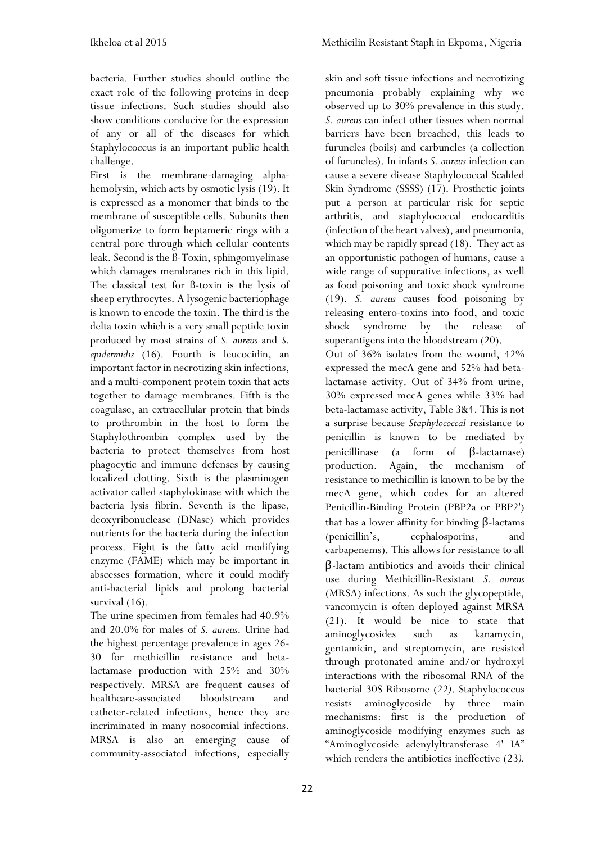bacteria. Further studies should outline the exact role of the following proteins in deep tissue infections. Such studies should also show conditions conducive for the expression of any or all of the diseases for which Staphylococcus is an important public health challenge.

First is the membrane-damaging alphahemolysin, which acts by osmotic lysis (19). It is expressed as a monomer that binds to the membrane of susceptible cells. Subunits then oligomerize to form heptameric rings with a central pore through which cellular contents leak. Second is the ß-Toxin, sphingomyelinase which damages membranes rich in this lipid. The classical test for ß-toxin is the lysis of sheep erythrocytes. A lysogenic bacteriophage is known to encode the toxin. The third is the delta toxin which is a very small peptide toxin produced by most strains of *S. aureus* and *S. epidermidis* (16). Fourth is leucocidin, an important factor in necrotizing skin infections, and a multi-component protein toxin that acts together to damage membranes. Fifth is the coagulase, an extracellular protein that binds to prothrombin in the host to form the Staphylothrombin complex used by the bacteria to protect themselves from host phagocytic and immune defenses by causing localized clotting. Sixth is the plasminogen activator called staphylokinase with which the bacteria lysis fibrin. Seventh is the lipase, deoxyribonuclease (DNase) which provides nutrients for the bacteria during the infection process. Eight is the fatty acid modifying enzyme (FAME) which may be important in abscesses formation, where it could modify anti-bacterial lipids and prolong bacterial survival  $(16)$ .

The urine specimen from females had 40.9% and 20.0% for males of *S. aureus*. Urine had the highest percentage prevalence in ages 26- 30 for methicillin resistance and betalactamase production with 25% and 30% respectively. MRSA are frequent causes of healthcare-associated bloodstream and catheter-related infections, hence they are incriminated in many nosocomial infections. MRSA is also an emerging cause of community-associated infections, especially

skin and soft tissue infections and necrotizing pneumonia probably explaining why we observed up to 30% prevalence in this study. *S. aureus* can infect other tissues when normal barriers have been breached, this leads to furuncles (boils) and carbuncles (a collection of furuncles). In infants *S. aureus* infection can cause a severe disease Staphylococcal Scalded Skin Syndrome (SSSS) (17). Prosthetic joints put a person at particular risk for septic arthritis, and staphylococcal endocarditis (infection of the heart valves), and pneumonia, which may be rapidly spread (18). They act as an opportunistic pathogen of humans, cause a wide range of suppurative infections, as well as food poisoning and toxic shock syndrome (19). *S. aureus* causes food poisoning by releasing entero-toxins into food, and toxic shock syndrome by the release of superantigens into the bloodstream  $(20)$ . Out of 36% isolates from the wound, 42% expressed the mecA gene and 52% had betalactamase activity. Out of 34% from urine, 30% expressed mecA genes while 33% had beta-lactamase activity, Table 3&4. This is not a surprise because *Staphylococcal* resistance to penicillin is known to be mediated by penicillinase (a form of β-lactamase) production. Again, the mechanism of resistance to methicillin is known to be by the mecA gene, which codes for an altered Penicillin-Binding Protein (PBP2a or PBP2') that has a lower affinity for binding β-lactams (penicillin's, cephalosporins, and carbapenems). This allows for resistance to all β-lactam antibiotics and avoids their clinical use during Methicillin-Resistant *S. aureus* (MRSA) infections. As such the glycopeptide, vancomycin is often deployed against MRSA (21). It would be nice to state that aminoglycosides such as kanamycin, gentamicin, and streptomycin, are resisted through protonated amine and/or hydroxyl interactions with the ribosomal RNA of the bacterial 30S Ribosome (22*)*. Staphylococcus resists aminoglycoside by three main mechanisms: first is the production of aminoglycoside modifying enzymes such as "Aminoglycoside adenylyltransferase 4' IA"

which renders the antibiotics ineffective (23*).*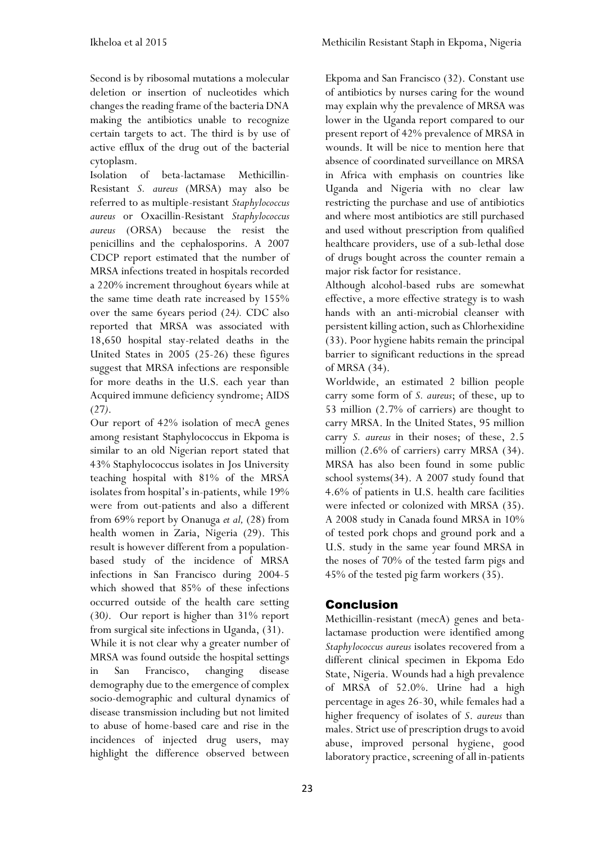Second is by ribosomal mutations a molecular deletion or insertion of nucleotides which changes the reading frame of the bacteria DNA making the antibiotics unable to recognize certain targets to act. The third is by use of active efflux of the drug out of the bacterial cytoplasm.

Isolation of beta-lactamase Methicillin-Resistant *S. aureus* (MRSA) may also be referred to as multiple-resistant *Staphylococcus aureus* or Oxacillin-Resistant *Staphylococcus aureus* (ORSA) because the resist the penicillins and the cephalosporins. A 2007 CDCP report estimated that the number of MRSA infections treated in hospitals recorded a 220% increment throughout 6years while at the same time death rate increased by 155% over the same 6years period (24*).* CDC also reported that MRSA was associated with 18,650 hospital stay-related deaths in the United States in 2005 [\(25-2](http://en.wikipedia.org/wiki/Methicillin-resistant_Staphylococcus_aureus#cite_note-2)6) these figures suggest that MRSA infections are responsible for more deaths in the U.S. each year than Acquired immune deficiency syndrome; AIDS (27*)*.

Our report of 42% isolation of mecA genes among resistant Staphylococcus in Ekpoma is similar to an old Nigerian report stated that 43% Staphylococcus isolates in Jos University teaching hospital with 81% of the MRSA isolates from hospital's in-patients, while 19% were from out-patients and also a different from 69% report by Onanuga *et al,* (28) from health women in Zaria, Nigeria (29). This result is however different from a populationbased study of the incidence of MRSA infections in San Francisco during 2004-5 which showed that 85% of these infections occurred outside of the health care setting (30*)*. Our report is higher than 31% report from surgical site infections in Uganda, (31). While it is not clear why a greater number of MRSA was found outside the hospital settings in San Francisco, changing disease demography due to the emergence of complex socio-demographic and cultural dynamics of disease transmission including but not limited to abuse of home-based care and rise in the incidences of injected drug users, may highlight the difference observed between

Ekpoma and San Francisco (32). Constant use of antibiotics by nurses caring for the wound may explain why the prevalence of MRSA was lower in the Uganda report compared to our present report of 42% prevalence of MRSA in wounds. It will be nice to mention here that absence of coordinated surveillance on MRSA in Africa with emphasis on countries like Uganda and Nigeria with no clear law restricting the purchase and use of antibiotics and where most antibiotics are still purchased and used without prescription from qualified healthcare providers, use of a sub-lethal dose of drugs bought across the counter remain a major risk factor for resistance.

Although alcohol-based rubs are somewhat effective, a more effective strategy is to wash hands with an anti-microbial cleanser with persistent killing action, such a[s Chlorhexidine](http://en.wikipedia.org/wiki/Chlorhexidine) (33). Poor hygiene habits remain the principal barrier to significant reductions in the spread of MRSA (34).

Worldwide, an estimated 2 billion people carry some form of *S. aureus*; of these, up to 53 million (2.7% of carriers) are thought to carry MRSA. In the United States, 95 million carry *S. aureus* in their noses; of these, 2.5 million (2.6% of carriers) carry MRSA (34). MRSA has also been found in some public school systems(34). A 2007 study found that 4.6% of patients in U.S. health care facilities were infected or colonized with MRSA (35). A 2008 study in Canada found MRSA in 10% of tested pork chops and ground pork and a U.S. study in the same year found MRSA in the noses of 70% of the tested farm pigs and 45% of the tested pig farm workers (35).

## Conclusion

Methicillin-resistant (mecA) genes and betalactamase production were identified among *Staphylococcus aureus* isolates recovered from a different clinical specimen in Ekpoma Edo State, Nigeria. Wounds had a high prevalence of MRSA of 52.0%. Urine had a high percentage in ages 26-30, while females had a higher frequency of isolates of *S*. *aureus* than males. Strict use of prescription drugs to avoid abuse, improved personal hygiene, good laboratory practice, screening of all in-patients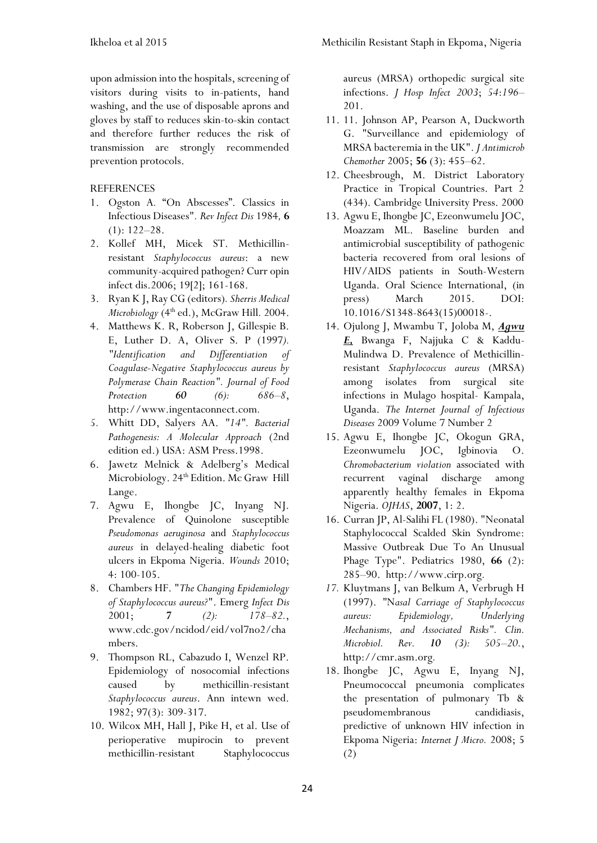upon admission into the hospitals, screening of visitors during visits to in-patients, hand washing, and the use of disposable aprons and gloves by staff to reduces skin-to-skin contact and therefore further reduces the risk of transmission are strongly recommended prevention protocols.

#### **REFERENCES**

- 1. Ogston A*.* "On Abscesses". Classics in Infectious Diseases"*. Rev Infect Dis* 1984*,* **6**  $(1): 122 - 28.$
- 2. Kollef MH, Micek ST. Methicillinresistant *Staphylococcus aureus*: a new community-acquired pathogen? Curr opin infect dis.2006; 19[2]; 161-168.
- 3. Ryan K J, Ray CG (editors)*. Sherris Medical Microbiology* (4<sup>th</sup> ed.), McGraw Hill. 2004.
- 4. Matthews K. R, Roberson J, Gillespie B. E, Luther D. A, Oliver S. P (1997*). ["Identification and Differentiation of](http://www.ingentaconnect.com/content/iafp/jfp/1997/00000060/00000006/art00015)  [Coagulase-Negative Staphylococcus aureus by](http://www.ingentaconnect.com/content/iafp/jfp/1997/00000060/00000006/art00015)  [Polymerase Chain Reaction"](http://www.ingentaconnect.com/content/iafp/jfp/1997/00000060/00000006/art00015). Journal of Food Protection 60 (6): 686–8*, http://www.ingentaconnect.com*.*
- *5.* Whitt DD, Salyers AA. *"14". Bacterial Pathogenesis: A Molecular Approach* (2nd edition ed.) USA: ASM Press.1998.
- 6. Jawetz Melnick & Adelberg's Medical Microbiology. 24<sup>th</sup> Edition. Mc Graw Hill Lange.
- 7. Agwu E, Ihongbe JC, Inyang NJ. Prevalence of Quinolone susceptible *Pseudomonas aeruginosa* and *Staphylococcus aureus* in delayed-healing diabetic foot ulcers in Ekpoma Nigeria. *Wounds* 2010; 4: 100-105.
- 8. Chambers HF. "*The Changing Epidemiology of Staphylococcus aureus?*". Emerg *Infect Dis*  2001; *7 (2): 178–82.*, www.cdc.gov/ncidod/eid/vol7no2/cha mbers.
- 9. Thompson RL, Cabazudo I, Wenzel RP. Epidemiology of nosocomial infections caused by methicillin-resistant *Staphylococcus aureus*. Ann intewn wed. 1982; 97(3): 309-317.
- 10. Wilcox MH, Hall J, Pike H, et al. Use of perioperative mupirocin to prevent methicillin-resistant Staphylococcus

aureus (MRSA) orthopedic surgical site infections. *J Hosp Infect 2003*; *54*:*196*– 201.

- 11. 11. Johnson AP, Pearson A, Duckworth G. "Surveillance and epidemiology of MRSA bacteremia in the UK". *J Antimicrob Chemother* 2005; **56** (3): 455–62.
- 12. Cheesbrough, M. District Laboratory Practice in Tropical Countries. Part 2 (434). Cambridge University Press. 2000
- 13. Agwu E, Ihongbe JC, Ezeonwumelu JOC, Moazzam ML. Baseline burden and antimicrobial susceptibility of pathogenic bacteria recovered from oral lesions of HIV/AIDS patients in South-Western Uganda. Oral Science International, (in press) March 2015. DOI: 10.1016/S1348-8643(15)00018-.
- 14. Ojulong J, Mwambu T, Joloba M, *Agwu E,* Bwanga F, Najjuka C & Kaddu-Mulindwa D. Prevalence of Methicillinresistant *Staphylococcus aureus* (MRSA) among isolates from surgical site infections in Mulago hospital- Kampala, Uganda. *The Internet Journal of Infectious Diseases* 2009 Volume 7 Number 2
- 15. Agwu E, Ihongbe JC, Okogun GRA, Ezeonwumelu JOC, Igbinovia O. *Chromobacterium violation* associated with recurrent vaginal discharge among apparently healthy females in Ekpoma Nigeria. *OJHAS*, **2007**, 1: 2.
- 16. Curran JP, Al-Salihi FL (1980). ["Neonatal](http://www.cirp.org/library/complications/curran1/)  [Staphylococcal Scalded Skin Syndrome:](http://www.cirp.org/library/complications/curran1/)  [Massive Outbreak Due To An Unusual](http://www.cirp.org/library/complications/curran1/)  [Phage Type"](http://www.cirp.org/library/complications/curran1/). Pediatrics 1980, **66** (2): 285–90. http://www.cirp.org*.*
- *17.* Kluytmans J, van Belkum A, Verbrugh H (1997). *"*N*[asal Carriage of Staphylococcus](http://cmr.asm.org/cgi/pmidlookup?view=long&pmid=9227864)  [aureus: Epidemiology, Underlying](http://cmr.asm.org/cgi/pmidlookup?view=long&pmid=9227864)  [Mechanisms, and Associated Risks"](http://cmr.asm.org/cgi/pmidlookup?view=long&pmid=9227864). Clin. Microbiol. Rev. 10 (3): 505–20.*, http://cmr.asm.org*.*
- 18. Ihongbe JC, Agwu E, Inyang NJ, Pneumococcal pneumonia complicates the presentation of pulmonary Tb & pseudomembranous candidiasis, predictive of unknown HIV infection in Ekpoma Nigeria: *Internet J Micro.* 2008; 5 (2)